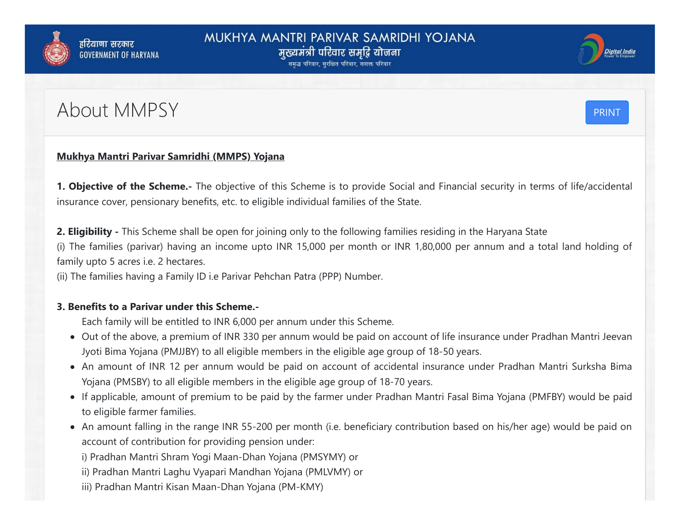



## About MMPSY PRINT



## **Mukhya Mantri Parivar Samridhi (MMPS) Yojana**

**1. Objective of the Scheme.-** The objective of this Scheme is to provide Social and Financial security in terms of life/accidental insurance cover, pensionary benefits, etc. to eligible individual families of the State.

**2. Eligibility -** This Scheme shall be open for joining only to the following families residing in the Haryana State (i) The families (parivar) having an income upto INR 15,000 per month or INR 1,80,000 per annum and a total land holding of family upto 5 acres i.e. 2 hectares.

(ii) The families having a Family ID i.e Parivar Pehchan Patra (PPP) Number.

## **3. Benefits to a Parivar under this Scheme.-**

Each family will be entitled to INR 6,000 per annum under this Scheme.

- Out of the above, a premium of INR 330 per annum would be paid on account of life insurance under Pradhan Mantri Jeevan Jyoti Bima Yojana (PMJJBY) to all eligible members in the eligible age group of 18-50 years.
- An amount of INR 12 per annum would be paid on account of accidental insurance under Pradhan Mantri Surksha Bima Yojana (PMSBY) to all eligible members in the eligible age group of 18-70 years.
- If applicable, amount of premium to be paid by the farmer under Pradhan Mantri Fasal Bima Yojana (PMFBY) would be paid to eligible farmer families.
- An amount falling in the range INR 55-200 per month (i.e. beneficiary contribution based on his/her age) would be paid on account of contribution for providing pension under:

i) Pradhan Mantri Shram Yogi Maan-Dhan Yojana (PMSYMY) or

- ii) Pradhan Mantri Laghu Vyapari Mandhan Yojana (PMLVMY) or
- iii) Pradhan Mantri Kisan Maan-Dhan Yojana (PM-KMY)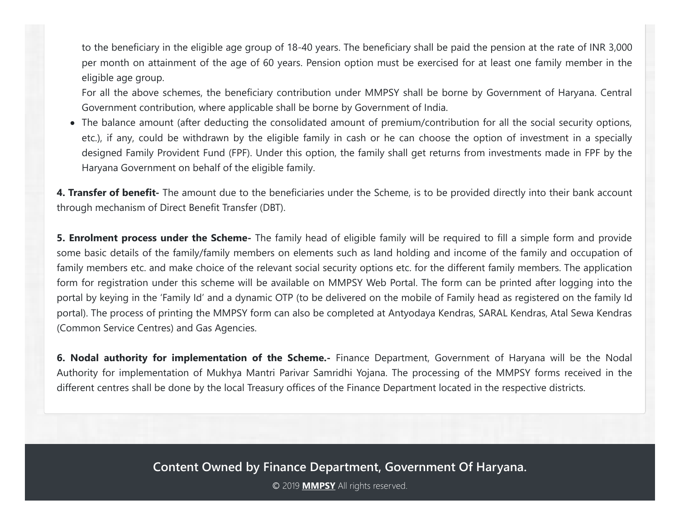to the beneficiary in the eligible age group of 18-40 years. The beneficiary shall be paid the pension at the rate of INR 3,000 per month on attainment of the age of 60 years. Pension option must be exercised for at least one family member in the eligible age group.

For all the above schemes, the beneficiary contribution under MMPSY shall be borne by Government of Haryana. Central Government contribution, where applicable shall be borne by Government of India.

The balance amount (after deducting the consolidated amount of premium/contribution for all the social security options, etc.), if any, could be withdrawn by the eligible family in cash or he can choose the option of investment in a specially designed Family Provident Fund (FPF). Under this option, the family shall get returns from investments made in FPF by the Haryana Government on behalf of the eligible family.

**4. Transfer of benefit-** The amount due to the beneficiaries under the Scheme, is to be provided directly into their bank account through mechanism of Direct Benefit Transfer (DBT).

**5. Enrolment process under the Scheme-** The family head of eligible family will be required to fill a simple form and provide some basic details of the family/family members on elements such as land holding and income of the family and occupation of family members etc. and make choice of the relevant social security options etc. for the different family members. The application form for registration under this scheme will be available on MMPSY Web Portal. The form can be printed after logging into the portal by keying in the 'Family Id' and a dynamic OTP (to be delivered on the mobile of Family head as registered on the family Id portal). The process of printing the MMPSY form can also be completed at Antyodaya Kendras, SARAL Kendras, Atal Sewa Kendras (Common Service Centres) and Gas Agencies.

**6. Nodal authority for implementation of the Scheme.-** Finance Department, Government of Haryana will be the Nodal Authority for implementation of Mukhya Mantri Parivar Samridhi Yojana. The processing of the MMPSY forms received in the different centres shall be done by the local Treasury offices of the Finance Department located in the respective districts.

**Content Owned by Finance Department, Government Of Haryana.**

Ⓒ 2019 **MMPSY** All rights reserved.